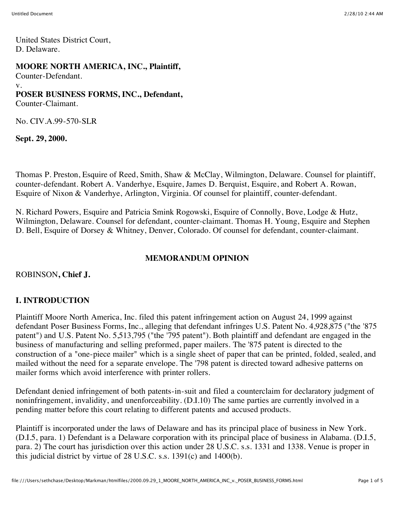United States District Court, D. Delaware.

#### **MOORE NORTH AMERICA, INC., Plaintiff,**

Counter-Defendant.

v.

# **POSER BUSINESS FORMS, INC., Defendant,**

Counter-Claimant.

No. CIV.A.99-570-SLR

**Sept. 29, 2000.**

Thomas P. Preston, Esquire of Reed, Smith, Shaw & McClay, Wilmington, Delaware. Counsel for plaintiff, counter-defendant. Robert A. Vanderhye, Esquire, James D. Berquist, Esquire, and Robert A. Rowan, Esquire of Nixon & Vanderhye, Arlington, Virginia. Of counsel for plaintiff, counter-defendant.

N. Richard Powers, Esquire and Patricia Smink Rogowski, Esquire of Connolly, Bove, Lodge & Hutz, Wilmington, Delaware. Counsel for defendant, counter-claimant. Thomas H. Young, Esquire and Stephen D. Bell, Esquire of Dorsey & Whitney, Denver, Colorado. Of counsel for defendant, counter-claimant.

# **MEMORANDUM OPINION**

#### ROBINSON**, Chief J.**

# **I. INTRODUCTION**

Plaintiff Moore North America, Inc. filed this patent infringement action on August 24, 1999 against defendant Poser Business Forms, Inc., alleging that defendant infringes U.S. Patent No. 4,928,875 ("the '875 patent") and U.S. Patent No. 5,513,795 ("the '795 patent"). Both plaintiff and defendant are engaged in the business of manufacturing and selling preformed, paper mailers. The '875 patent is directed to the construction of a "one-piece mailer" which is a single sheet of paper that can be printed, folded, sealed, and mailed without the need for a separate envelope. The '798 patent is directed toward adhesive patterns on mailer forms which avoid interference with printer rollers.

Defendant denied infringement of both patents-in-suit and filed a counterclaim for declaratory judgment of noninfringement, invalidity, and unenforceability. (D.I.10) The same parties are currently involved in a pending matter before this court relating to different patents and accused products.

Plaintiff is incorporated under the laws of Delaware and has its principal place of business in New York. (D.I.5, para. 1) Defendant is a Delaware corporation with its principal place of business in Alabama. (D.I.5, para. 2) The court has jurisdiction over this action under 28 U.S.C. s.s. 1331 and 1338. Venue is proper in this judicial district by virtue of 28 U.S.C. s.s. 1391(c) and 1400(b).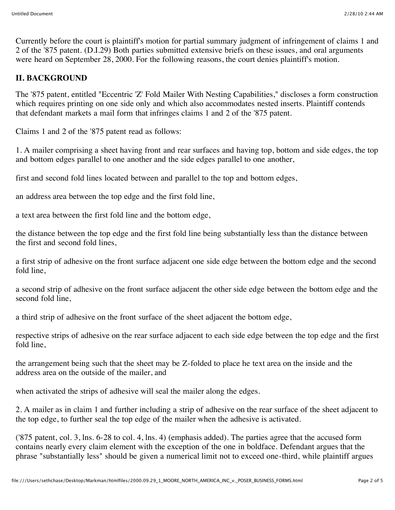Currently before the court is plaintiff's motion for partial summary judgment of infringement of claims 1 and 2 of the '875 patent. (D.I.29) Both parties submitted extensive briefs on these issues, and oral arguments were heard on September 28, 2000. For the following reasons, the court denies plaintiff's motion.

#### **II. BACKGROUND**

The '875 patent, entitled "Eccentric 'Z' Fold Mailer With Nesting Capabilities," discloses a form construction which requires printing on one side only and which also accommodates nested inserts. Plaintiff contends that defendant markets a mail form that infringes claims 1 and 2 of the '875 patent.

Claims 1 and 2 of the '875 patent read as follows:

1. A mailer comprising a sheet having front and rear surfaces and having top, bottom and side edges, the top and bottom edges parallel to one another and the side edges parallel to one another,

first and second fold lines located between and parallel to the top and bottom edges,

an address area between the top edge and the first fold line,

a text area between the first fold line and the bottom edge,

the distance between the top edge and the first fold line being substantially less than the distance between the first and second fold lines,

a first strip of adhesive on the front surface adjacent one side edge between the bottom edge and the second fold line,

a second strip of adhesive on the front surface adjacent the other side edge between the bottom edge and the second fold line,

a third strip of adhesive on the front surface of the sheet adjacent the bottom edge,

respective strips of adhesive on the rear surface adjacent to each side edge between the top edge and the first fold line,

the arrangement being such that the sheet may be Z-folded to place he text area on the inside and the address area on the outside of the mailer, and

when activated the strips of adhesive will seal the mailer along the edges.

2. A mailer as in claim 1 and further including a strip of adhesive on the rear surface of the sheet adjacent to the top edge, to further seal the top edge of the mailer when the adhesive is activated.

('875 patent, col. 3, lns. 6-28 to col. 4, lns. 4) (emphasis added). The parties agree that the accused form contains nearly every claim element with the exception of the one in boldface. Defendant argues that the phrase "substantially less" should be given a numerical limit not to exceed one-third, while plaintiff argues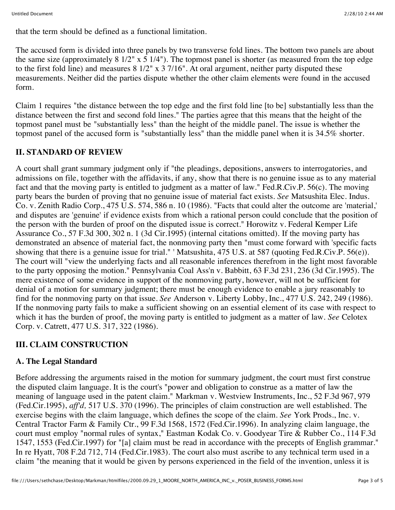that the term should be defined as a functional limitation.

The accused form is divided into three panels by two transverse fold lines. The bottom two panels are about the same size (approximately 8 1/2" x  $\frac{1}{4}$ "). The topmost panel is shorter (as measured from the top edge to the first fold line) and measures 8 1/2" x 3 7/16". At oral argument, neither party disputed these measurements. Neither did the parties dispute whether the other claim elements were found in the accused form.

Claim 1 requires "the distance between the top edge and the first fold line [to be] substantially less than the distance between the first and second fold lines." The parties agree that this means that the height of the topmost panel must be "substantially less" than the height of the middle panel. The issue is whether the topmost panel of the accused form is "substantially less" than the middle panel when it is 34.5% shorter.

# **II. STANDARD OF REVIEW**

A court shall grant summary judgment only if "the pleadings, depositions, answers to interrogatories, and admissions on file, together with the affidavits, if any, show that there is no genuine issue as to any material fact and that the moving party is entitled to judgment as a matter of law." Fed.R.Civ.P. 56(c). The moving party bears the burden of proving that no genuine issue of material fact exists. *See* Matsushita Elec. Indus. Co. v. Zenith Radio Corp., 475 U.S. 574, 586 n. 10 (1986). "Facts that could alter the outcome are 'material,' and disputes are 'genuine' if evidence exists from which a rational person could conclude that the position of the person with the burden of proof on the disputed issue is correct." Horowitz v. Federal Kemper Life Assurance Co., 57 F.3d 300, 302 n. 1 (3d Cir.1995) (internal citations omitted). If the moving party has demonstrated an absence of material fact, the nonmoving party then "must come forward with 'specific facts showing that there is a genuine issue for trial." ' Matsushita, 475 U.S. at 587 (quoting Fed.R.Civ.P. 56(e)). The court will "view the underlying facts and all reasonable inferences therefrom in the light most favorable to the party opposing the motion." Pennsylvania Coal Ass'n v. Babbitt, 63 F.3d 231, 236 (3d Cir.1995). The mere existence of some evidence in support of the nonmoving party, however, will not be sufficient for denial of a motion for summary judgment; there must be enough evidence to enable a jury reasonably to find for the nonmoving party on that issue. *See* Anderson v. Liberty Lobby, Inc., 477 U.S. 242, 249 (1986). If the nonmoving party fails to make a sufficient showing on an essential element of its case with respect to which it has the burden of proof, the moving party is entitled to judgment as a matter of law. *See* Celotex Corp. v. Catrett, 477 U.S. 317, 322 (1986).

# **III. CLAIM CONSTRUCTION**

# **A. The Legal Standard**

Before addressing the arguments raised in the motion for summary judgment, the court must first construe the disputed claim language. It is the court's "power and obligation to construe as a matter of law the meaning of language used in the patent claim." Markman v. Westview Instruments, Inc., 52 F.3d 967, 979 (Fed.Cir.1995), *aff'd,* 517 U.S. 370 (1996). The principles of claim construction are well established. The exercise begins with the claim language, which defines the scope of the claim. *See* York Prods., Inc. v. Central Tractor Farm & Family Ctr., 99 F.3d 1568, 1572 (Fed.Cir.1996). In analyzing claim language, the court must employ "normal rules of syntax," Eastman Kodak Co. v. Goodyear Tire & Rubber Co., 114 F.3d 1547, 1553 (Fed.Cir.1997) for "[a] claim must be read in accordance with the precepts of English grammar." In re Hyatt, 708 F.2d 712, 714 (Fed.Cir.1983). The court also must ascribe to any technical term used in a claim "the meaning that it would be given by persons experienced in the field of the invention, unless it is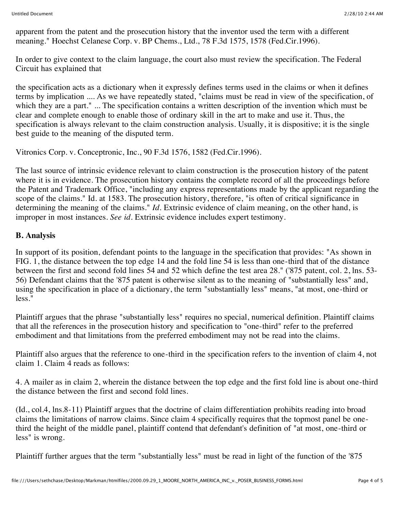apparent from the patent and the prosecution history that the inventor used the term with a different meaning." Hoechst Celanese Corp. v. BP Chems., Ltd., 78 F.3d 1575, 1578 (Fed.Cir.1996).

In order to give context to the claim language, the court also must review the specification. The Federal Circuit has explained that

the specification acts as a dictionary when it expressly defines terms used in the claims or when it defines terms by implication .... As we have repeatedly stated, "claims must be read in view of the specification, of which they are a part." ... The specification contains a written description of the invention which must be clear and complete enough to enable those of ordinary skill in the art to make and use it. Thus, the specification is always relevant to the claim construction analysis. Usually, it is dispositive; it is the single best guide to the meaning of the disputed term.

Vitronics Corp. v. Conceptronic, Inc., 90 F.3d 1576, 1582 (Fed.Cir.1996).

The last source of intrinsic evidence relevant to claim construction is the prosecution history of the patent where it is in evidence. The prosecution history contains the complete record of all the proceedings before the Patent and Trademark Office, "including any express representations made by the applicant regarding the scope of the claims." Id. at 1583. The prosecution history, therefore, "is often of critical significance in determining the meaning of the claims." *Id.* Extrinsic evidence of claim meaning, on the other hand, is improper in most instances. *See id.* Extrinsic evidence includes expert testimony.

#### **B. Analysis**

In support of its position, defendant points to the language in the specification that provides: "As shown in FIG. 1, the distance between the top edge 14 and the fold line 54 is less than one-third that of the distance between the first and second fold lines 54 and 52 which define the test area 28." ('875 patent, col. 2, lns. 53- 56) Defendant claims that the '875 patent is otherwise silent as to the meaning of "substantially less" and, using the specification in place of a dictionary, the term "substantially less" means, "at most, one-third or less."

Plaintiff argues that the phrase "substantially less" requires no special, numerical definition. Plaintiff claims that all the references in the prosecution history and specification to "one-third" refer to the preferred embodiment and that limitations from the preferred embodiment may not be read into the claims.

Plaintiff also argues that the reference to one-third in the specification refers to the invention of claim 4, not claim 1. Claim 4 reads as follows:

4. A mailer as in claim 2, wherein the distance between the top edge and the first fold line is about one-third the distance between the first and second fold lines.

(Id., col.4, lns.8-11) Plaintiff argues that the doctrine of claim differentiation prohibits reading into broad claims the limitations of narrow claims. Since claim 4 specifically requires that the topmost panel be onethird the height of the middle panel, plaintiff contend that defendant's definition of "at most, one-third or less" is wrong.

Plaintiff further argues that the term "substantially less" must be read in light of the function of the '875